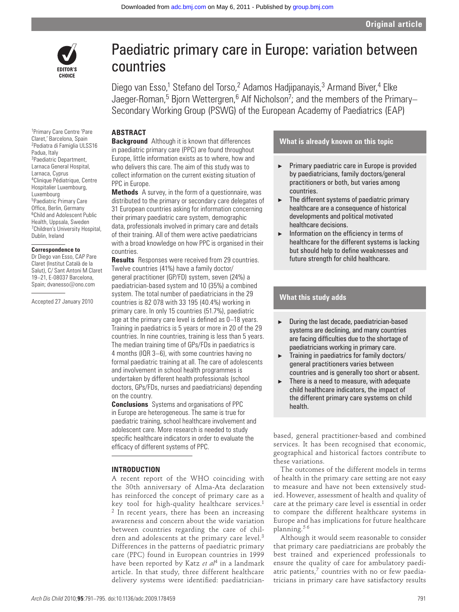

# Paediatric primary care in Europe: variation between countries

Diego van Esso,<sup>1</sup> Stefano del Torso,<sup>2</sup> Adamos Hadjipanayis,<sup>3</sup> Armand Biver,<sup>4</sup> Elke Jaeger-Roman,<sup>5</sup> Bjorn Wettergren,<sup>6</sup> Alf Nicholson<sup>7</sup>; and the members of the Primary– Secondary Working Group (PSWG) of the European Academy of Paediatrics (EAP)

## **ABSTRACT**

**Background** Although it is known that differences in paediatric primary care (PPC) are found throughout Europe, little information exists as to where, how and who delivers this care. The aim of this study was to collect information on the current existing situation of PPC in Europe.

**Methods** A survey, in the form of a questionnaire, was distributed to the primary or secondary care delegates of 31 European countries asking for information concerning their primary paediatric care system, demographic data, professionals involved in primary care and details of their training. All of them were active paediatricians with a broad knowledge on how PPC is organised in their countries.

**Results** Responses were received from 29 countries. Twelve countries (41%) have a family doctor/ general practitioner (GP/FD) system, seven (24%) a paediatrician-based system and 10 (35%) a combined system. The total number of paediatricians in the 29 countries is 82 078 with 33 195 (40.4%) working in primary care. In only 15 countries (51.7%), paediatric age at the primary care level is defined as 0-18 years. Training in paediatrics is 5 years or more in 20 of the 29 countries. In nine countries, training is less than 5 years. The median training time of GPs/FDs in paediatrics is 4 months (IQR 3–6), with some countries having no formal paediatric training at all. The care of adolescents and involvement in school health programmes is undertaken by different health professionals (school doctors, GPs/FDs, nurses and paediatricians) depending on the country.

**Conclusions** Systems and organisations of PPC in Europe are heterogeneous. The same is true for paediatric training, school healthcare involvement and adolescent care. More research is needed to study specific healthcare indicators in order to evaluate the efficacy of different systems of PPC.

#### **INTRODUCTION**

A recent report of the WHO coinciding with the 30th anniversary of Alma-Ata declaration has reinforced the concept of primary care as a key tool for high-quality healthcare services.<sup>1</sup> 2 In recent years, there has been an increasing awareness and concern about the wide variation between countries regarding the care of children and adolescents at the primary care level.<sup>3</sup> Differences in the patterns of paediatric primary care (PPC) found in European countries in 1999 have been reported by Katz *et al*4 in a landmark article. In that study, three different healthcare delivery systems were identified: paediatrician-

# **What is already known on this topic**

- ▶ Primary paediatric care in Europe is provided by paediatricians, family doctors/general practitioners or both, but varies among countries.
- $\blacktriangleright$  The different systems of paediatric primary healthcare are a consequence of historical developments and political motivated healthcare decisions.
- $\blacktriangleright$  Information on the efficiency in terms of healthcare for the different systems is lacking but should help to define weaknesses and future strength for child healthcare.

# **What this study adds**

- ▶ During the last decade, paediatrician-based systems are declining, and many countries are facing difficulties due to the shortage of paediatricians working in primary care.
- ▶ Training in paediatrics for family doctors/ general practitioners varies between countries and is generally too short or absent.
- $\blacktriangleright$  There is a need to measure, with adequate child healthcare indicators, the impact of the different primary care systems on child health.

based, general practitioner-based and combined services. It has been recognised that economic, geographical and historical factors contribute to these variations.

The outcomes of the different models in terms of health in the primary care setting are not easy to measure and have not been extensively studied. However, assessment of health and quality of care at the primary care level is essential in order to compare the different healthcare systems in Europe and has implications for future healthcare planning.5 6

Although it would seem reasonable to consider that primary care paediatricians are probably the best trained and experienced professionals to ensure the quality of care for ambulatory paediatric patients, $7$  countries with no or few paediatricians in primary care have satisfactory results

1 Primary Care Centre 'Pare Claret,' Barcelona, Spain 2Pediatra di Famiglia ULSS16 Padua, Italy 3Paediatric Department, Larnaca General Hospital, Larnaca, Cyprus 4Clinique Pédiatrique, Centre Hospitalier Luxembourg, Luxembourg 5Paediatric Primary Care Office, Berlin, Germany 6Child and Adolescent Public Health, Uppsala, Sweden 7Children's University Hospital, Dublin, Ireland

#### **Correspondence to**

Dr Diego van Esso, CAP Pare Claret (Institut Català de la Salut), C/ Sant Antoni M Claret 19–21, E-08037 Barcelona, Spain; dvanesso@ono.com

Accepted 27 January 2010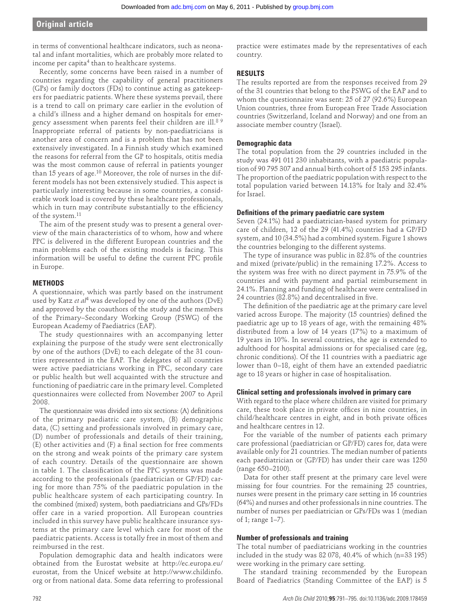# **Original article**

in terms of conventional healthcare indicators, such as neonatal and infant mortalities, which are probably more related to income per capita<sup>4</sup> than to healthcare systems.

Recently, some concerns have been raised in a number of countries regarding the capability of general practitioners (GPs) or family doctors (FDs) to continue acting as gatekeepers for paediatric patients. Where these systems prevail, there is a trend to call on primary care earlier in the evolution of a child's illness and a higher demand on hospitals for emergency assessment when parents feel their children are ill.8 9 Inappropriate referral of patients by non-paediatricians is another area of concern and is a problem that has not been extensively investigated. In a Finnish study which examined the reasons for referral from the GP to hospitals, otitis media was the most common cause of referral in patients younger than 15 years of age.<sup>10</sup> Moreover, the role of nurses in the different models has not been extensively studied. This aspect is particularly interesting because in some countries, a considerable work load is covered by these healthcare professionals, which in turn may contribute substantially to the efficiency of the system.11

The aim of the present study was to present a general overview of the main characteristics of to whom, how and where PPC is delivered in the different European countries and the main problems each of the existing models is facing. This information will be useful to define the current PPC profile in Europe.

### **METHODS**

A questionnaire, which was partly based on the instrument used by Katz *et al*4 was developed by one of the authors (DvE) and approved by the coauthors of the study and the members of the Primary–Secondary Working Group (PSWG) of the European Academy of Paediatrics (EAP).

The study questionnaires with an accompanying letter explaining the purpose of the study were sent electronically by one of the authors (DvE) to each delegate of the 31 countries represented in the EAP. The delegates of all countries were active paediatricians working in PPC, secondary care or public health but well acquainted with the structure and functioning of paediatric care in the primary level. Completed questionnaires were collected from November 2007 to April 2008.

The questionnaire was divided into six sections: (A) definitions of the primary paediatric care system, (B) demographic data, (C) setting and professionals involved in primary care, (D) number of professionals and details of their training,  $(E)$  other activities and  $(F)$  a final section for free comments on the strong and weak points of the primary care system of each country. Details of the questionnaire are shown in table 1. The classification of the PPC systems was made according to the professionals (paediatrician or GP/FD) caring for more than 75% of the paediatric population in the public healthcare system of each participating country. In the combined (mixed) system, both paediatricians and GPs/FDs offer care in a varied proportion. All European countries included in this survey have public healthcare insurance systems at the primary care level which care for most of the paediatric patients. Access is totally free in most of them and reimbursed in the rest.

Population demographic data and health indicators were obtained from the Eurostat website at http://ec.europa.eu/ eurostat, from the Unicef website at http://www.childinfo. org or from national data. Some data referring to professional

practice were estimates made by the representatives of each country.

#### **RESULTS**

The results reported are from the responses received from 29 of the 31 countries that belong to the PSWG of the EAP and to whom the questionnaire was sent: 25 of 27 (92.6%) European Union countries, three from European Free Trade Association countries (Switzerland, Iceland and Norway) and one from an associate member country (Israel).

# **Demographic data**

The total population from the 29 countries included in the study was 491 011 230 inhabitants, with a paediatric population of 90 795 307 and annual birth cohort of 5 153 295 infants. The proportion of the paediatric population with respect to the total population varied between 14.13% for Italy and 32.4% for Israel.

### **Defi nitions of the primary paediatric care system**

Seven (24.1%) had a paediatrician-based system for primary care of children, 12 of the 29 (41.4%) countries had a GP/FD system, and 10 (34.5%) had a combined system. Figure 1 shows the countries belonging to the different systems.

The type of insurance was public in 82.8% of the countries and mixed (private/public) in the remaining 17.2%. Access to the system was free with no direct payment in 75.9% of the countries and with payment and partial reimbursement in 24.1%. Planning and funding of healthcare were centralised in 24 countries (82.8%) and decentralised in five.

The definition of the paediatric age at the primary care level varied across Europe. The majority (15 countries) defined the paediatric age up to 18 years of age, with the remaining 48% distributed from a low of 14 years (17%) to a maximum of 19 years in 10%. In several countries, the age is extended to adulthood for hospital admissions or for specialised care (eg, chronic conditions). Of the 11 countries with a paediatric age lower than 0–18, eight of them have an extended paediatric age to 18 years or higher in case of hospitalisation.

#### **Clinical setting and professionals involved in primary care**

With regard to the place where children are visited for primary care, these took place in private offices in nine countries, in child/healthcare centres in eight, and in both private offices and healthcare centres in 12.

For the variable of the number of patients each primary care professional (paediatrician or GP/FD) cares for, data were available only for 21 countries. The median number of patients each paediatrician or (GP/FD) has under their care was 1250 (range 650–2100).

Data for other staff present at the primary care level were missing for four countries. For the remaining 25 countries, nurses were present in the primary care setting in 16 countries (64%) and nurses and other professionals in nine countries. The number of nurses per paediatrician or GPs/FDs was 1 (median of 1; range 1–7).

#### **Number of professionals and training**

The total number of paediatricians working in the countries included in the study was 82 078, 40.4% of which (n=33 195) were working in the primary care setting.

The standard training recommended by the European Board of Paediatrics (Standing Committee of the EAP) is 5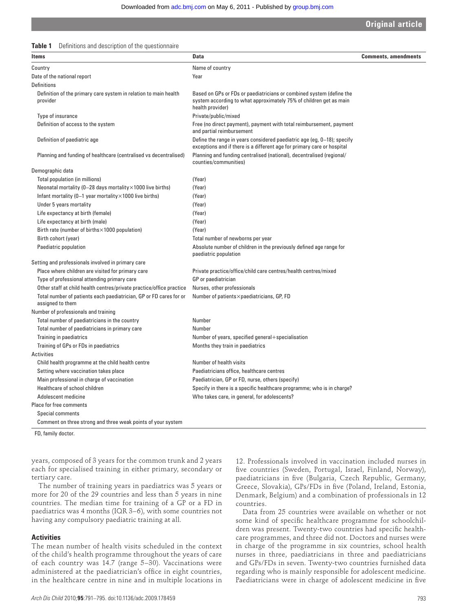| <b>Original article</b> |
|-------------------------|
|                         |

| Table 1 | Definitions and description of the questionnaire |  |  |  |
|---------|--------------------------------------------------|--|--|--|
|---------|--------------------------------------------------|--|--|--|

| <b>Items</b>                                                                           | <b>Data</b>                                                                                                                                                    | <b>Comments, amendments</b> |
|----------------------------------------------------------------------------------------|----------------------------------------------------------------------------------------------------------------------------------------------------------------|-----------------------------|
| Country                                                                                | Name of country                                                                                                                                                |                             |
| Date of the national report                                                            | Year                                                                                                                                                           |                             |
| <b>Definitions</b>                                                                     |                                                                                                                                                                |                             |
| Definition of the primary care system in relation to main health<br>provider           | Based on GPs or FDs or paediatricians or combined system (define the<br>system according to what approximately 75% of children get as main<br>health provider) |                             |
| Type of insurance                                                                      | Private/public/mixed                                                                                                                                           |                             |
| Definition of access to the system                                                     | Free (no direct payment), payment with total reimbursement, payment<br>and partial reimbursement                                                               |                             |
| Definition of paediatric age                                                           | Define the range in years considered paediatric age (eg, 0–18); specify<br>exceptions and if there is a different age for primary care or hospital             |                             |
| Planning and funding of healthcare (centralised vs decentralised)                      | Planning and funding centralised (national), decentralised (regional/<br>counties/communities)                                                                 |                             |
| Demographic data                                                                       |                                                                                                                                                                |                             |
| Total population (in millions)                                                         | (Year)                                                                                                                                                         |                             |
| Neonatal mortality (0-28 days mortality × 1000 live births)                            | (Year)                                                                                                                                                         |                             |
| Infant mortality (0-1 year mortality $\times$ 1000 live births)                        | (Year)                                                                                                                                                         |                             |
| Under 5 years mortality                                                                | (Year)                                                                                                                                                         |                             |
| Life expectancy at birth (female)                                                      | (Year)                                                                                                                                                         |                             |
| Life expectancy at birth (male)                                                        | (Year)                                                                                                                                                         |                             |
| Birth rate (number of births $\times$ 1000 population)                                 | (Year)                                                                                                                                                         |                             |
| Birth cohort (year)                                                                    | Total number of newborns per year                                                                                                                              |                             |
| Paediatric population                                                                  | Absolute number of children in the previously defined age range for<br>paediatric population                                                                   |                             |
| Setting and professionals involved in primary care                                     |                                                                                                                                                                |                             |
| Place where children are visited for primary care                                      | Private practice/office/child care centres/health centres/mixed                                                                                                |                             |
| Type of professional attending primary care                                            | GP or paediatrician                                                                                                                                            |                             |
| Other staff at child health centres/private practice/office practice                   | Nurses, other professionals                                                                                                                                    |                             |
| Total number of patients each paediatrician, GP or FD cares for or<br>assigned to them | Number of patients×paediatricians, GP, FD                                                                                                                      |                             |
| Number of professionals and training                                                   |                                                                                                                                                                |                             |
| Total number of paediatricians in the country                                          | Number                                                                                                                                                         |                             |
| Total number of paediatricians in primary care                                         | Number                                                                                                                                                         |                             |
| Training in paediatrics                                                                | Number of years, specified general+specialisation                                                                                                              |                             |
| Training of GPs or FDs in paediatrics                                                  | Months they train in paediatrics                                                                                                                               |                             |
| <b>Activities</b>                                                                      |                                                                                                                                                                |                             |
| Child health programme at the child health centre                                      | Number of health visits                                                                                                                                        |                             |
| Setting where vaccination takes place                                                  | Paediatricians office, healthcare centres                                                                                                                      |                             |
| Main professional in charge of vaccination                                             | Paediatrician, GP or FD, nurse, others (specify)                                                                                                               |                             |
| Healthcare of school children                                                          | Specify in there is a specific healthcare programme; who is in charge?                                                                                         |                             |
| Adolescent medicine                                                                    | Who takes care, in general, for adolescents?                                                                                                                   |                             |
| <b>Place for free comments</b>                                                         |                                                                                                                                                                |                             |
| Special comments                                                                       |                                                                                                                                                                |                             |
| Comment on three strong and three weak points of your system                           |                                                                                                                                                                |                             |
|                                                                                        |                                                                                                                                                                |                             |

FD, family doctor.

years, composed of 3 years for the common trunk and 2 years each for specialised training in either primary, secondary or tertiary care.

The number of training years in paediatrics was 5 years or more for 20 of the 29 countries and less than 5 years in nine countries. The median time for training of a GP or a FD in paediatrics was 4 months (IQR 3–6), with some countries not having any compulsory paediatric training at all.

# **Activities**

The mean number of health visits scheduled in the context of the child's health programme throughout the years of care of each country was 14.7 (range 5–30). Vaccinations were administered at the paediatrician's office in eight countries, in the healthcare centre in nine and in multiple locations in

*Arch Dis Child* 2010;**95**:791–795. doi:10.1136/adc.2009.178459 793

12. Professionals involved in vaccination included nurses in five countries (Sweden, Portugal, Israel, Finland, Norway), paediatricians in five (Bulgaria, Czech Republic, Germany, Greece, Slovakia), GPs/FDs in five (Poland, Ireland, Estonia, Denmark, Belgium) and a combination of professionals in 12 countries.

Data from 25 countries were available on whether or not some kind of specific healthcare programme for schoolchildren was present. Twenty-two countries had specific healthcare programmes, and three did not. Doctors and nurses were in charge of the programme in six countries, school health nurses in three, paediatricians in three and paediatricians and GPs/FDs in seven. Twenty-two countries furnished data regarding who is mainly responsible for adolescent medicine. Paediatricians were in charge of adolescent medicine in five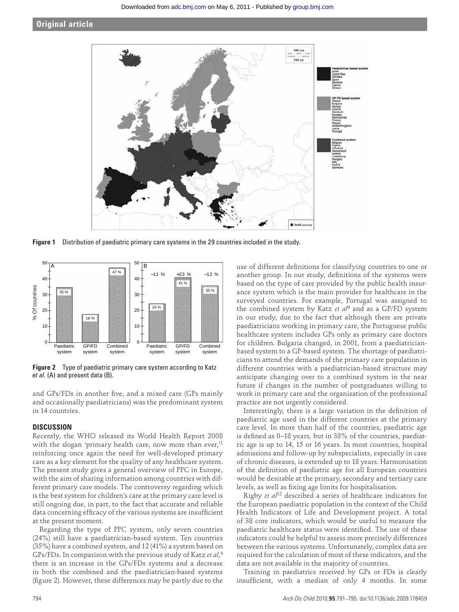# **Original article**



**Figure 1** Distribution of paediatric primary care systems in the 29 countries included in the study.



**Figure 2** Type of paediatric primary care system according to Katz *et al*. (A) and present data (B).

and GPs/FDs in another five, and a mixed care (GPs mainly and occasionally paediatricians) was the predominant system in 14 countries.

# **DISCUSSION**

Recently, the WHO released its World Health Report 2008 with the slogan 'primary health care, now more than ever,<sup>1</sup> reinforcing once again the need for well-developed primary care as a key element for the quality of any healthcare system. The present study gives a general overview of PPC in Europe, with the aim of sharing information among countries with different primary care models. The controversy regarding which is the best system for children's care at the primary care level is still ongoing due, in part, to the fact that accurate and reliable data concerning efficacy of the various systems are insufficient at the present moment.

Regarding the type of PPC system, only seven countries (24%) still have a paediatrician-based system. Ten countries (35%) have a combined system, and 12 (41%) a system based on GPs/FDs. In comparison with the previous study of Katz *et al*, 4 there is an increase in the GPs/FDs systems and a decrease in both the combined and the paediatrician-based systems (figure 2). However, these differences may be partly due to the use of different definitions for classifying countries to one or another group. In our study, definitions of the systems were based on the type of care provided by the public health insurance system which is the main provider for healthcare in the surveyed countries. For example, Portugal was assigned to the combined system by Katz *et al*4 and as a GP/FD system in our study, due to the fact that although there are private paediatricians working in primary care, the Portuguese public healthcare system includes GPs only as primary care doctors for children. Bulgaria changed, in 2001, from a paediatricianbased system to a GP-based system. The shortage of paediatricians to attend the demands of the primary care population in different countries with a paediatrician-based structure may anticipate changing over to a combined system in the near future if changes in the number of postgraduates willing to work in primary care and the organisation of the professional practice are not urgently considered.

Interestingly, there is a large variation in the definition of paediatric age used in the different countries at the primary care level. In more than half of the countries, paediatric age is defined as 0–18 years, but in 38% of the countries, paediatric age is up to 14, 15 or 16 years. In most countries, hospital admissions and follow-up by subspecialists, especially in case of chronic diseases, is extended up to 18 years. Harmonisation of the definition of paediatric age for all European countries would be desirable at the primary, secondary and tertiary care levels, as well as fixing age limits for hospitalisation.

Rigby *et al*12 described a series of healthcare indicators for the European paediatric population in the context of the Child Health Indicators of Life and Development project. A total of 38 core indicators, which would be useful to measure the paediatric healthcare status were identified. The use of these indicators could be helpful to assess more precisely differences between the various systems. Unfortunately, complex data are required for the calculation of most of these indicators, and the data are not available in the majority of countries.

Training in paediatrics received by GPs or FDs is clearly insufficient, with a median of only 4 months. In some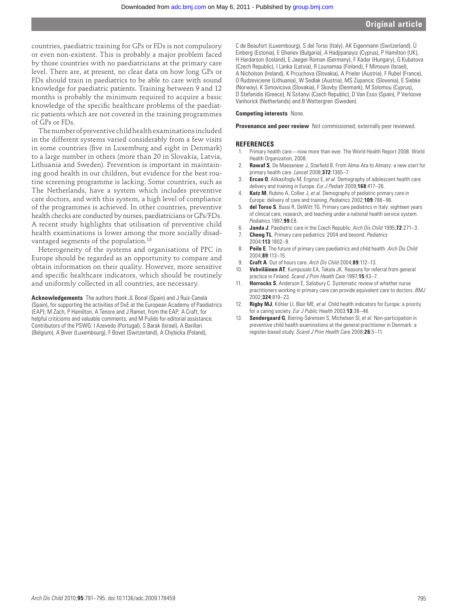countries, paediatric training for GPs or FDs is not compulsory or even non-existent. This is probably a major problem faced by those countries with no paediatricians at the primary care level. There are, at present, no clear data on how long GPs or FDs should train in paediatrics to be able to care with sound knowledge for paediatric patients. Training between 9 and 12 months is probably the minimum required to acquire a basic knowledge of the specific healthcare problems of the paediatric patients which are not covered in the training programmes of GPs or FDs.

The number of preventive child health examinations included in the different systems varied considerably from a few visits in some countries (five in Luxemburg and eight in Denmark) to a large number in others (more than 20 in Slovakia, Latvia, Lithuania and Sweden). Prevention is important in maintaining good health in our children, but evidence for the best routine screening programme is lacking. Some countries, such as The Netherlands, have a system which includes preventive care doctors, and with this system, a high level of compliance of the programmes is achieved. In other countries, preventive health checks are conducted by nurses, paediatricians or GPs/FDs. A recent study highlights that utilisation of preventive child health examinations is lower among the more socially disadvantaged segments of the population.13

Heterogeneity of the systems and organisations of PPC in Europe should be regarded as an opportunity to compare and obtain information on their quality. However, more sensitive and specific healthcare indicators, which should be routinely and uniformly collected in all countries, are necessary.

**Acknowledgements** The authors thank JL Bonal (Spain) and J Ruiz-Canela (Spain), for supporting the activities of DvE at the European Academy of Paediatrics (EAP); M Zach, P Hamilton, A Tenore and J Ramet, from the EAP; A Craft, for helpful criticisms and valuable comments; and M Pulido for editorial assistance. Contributors of the PSWG: I Azevedo (Portugal), S Barak (Israel), A Barillari (Belgium), A Biver (Luxembourg), F Bovet (Switzerland), A Chybicka (Poland),

C de Beaufort (Luxembourg), S del Torso (Italy), AK Eigenmann (Switzerland), Ü Einberg (Estonia), E Ghenev (Bulgaria), A Hadjipanayis (Cyprus), P Hamilton (UK), H Hardarson (Iceland), E Jaeger-Roman (Germany), F Kadar (Hungary), G Kubatova (Czech Republic), I Lanka (Latvia), R Lounamaa (Finland), F Mimouni (Israel), A Nicholson (Ireland), K Prcuchova (Slovakia), A Prieler (Austria), F Rubel (France), O Rudzeviciene (Lithuania), W Sedlak (Austria), MS Zupancic (Slovenia), E Siebke (Norway), K Simovicova (Slovakia), F Skovby (Denmark), M Solomou (Cyprus), D Stefanidis (Greece), N Szitanyi (Czech Republic), D Van Esso (Spain), P Verloove Vanhorick (Netherlands) and B Wettergren (Sweden).

#### **Competing interests** None.

**Provenance and peer review** Not commissioned; externally peer reviewed.

#### **REFERENCES**

- 1. Primary health care—now more than ever. The World Health Report 2008. World Health Organization, 2008.
- **Rawaf S**, De Maeseneer J, Starfield B. From Alma-Ata to Almaty: a new start for primary health care. *Lancet* 2008;**372**:1365–7.
- 3. **Ercan O**, Alikasifoglu M, Erginoz E, *et al.* Demography of adolescent health care delivery and training in Europe. *Eur J Pediatr* 2009;**168**:417–26.
- 4. **Katz M**, Rubino A, Collier J, *et al.* Demography of pediatric primary care in Europe: delivery of care and training. *Pediatrics* 2002;**109**:788–96.
- 5. **del Torso S**, Bussi R, DeWitt TG. Primary care pediatrics in Italy: eighteen years of clinical care, research, and teaching under a national health service system. *Pediatrics* 1997;**99**:E8.
- 6. **Janda J**. Paediatric care in the Czech Republic. *Arch Dis Child* 1995;**72**:271–3.
- 7. **Cheng TL**. Primary care pediatrics: 2004 and beyond. *Pediatrics* 2004;**113**:1802–9.
- 8. **Peile E**. The future of primary care paediatrics and child health. *Arch Dis Child* 2004;**89**:113–15.
- 9. **Craft A**. Out of hours care. *Arch Dis Child* 2004;**89**:112–13.
- 10. **Vehviläinen AT**, Kumpusalo EA, Takala JK. Reasons for referral from general practice in Finland. *Scand J Prim Health Care* 1997;**15**:43–7.
- 11. **Horrocks S**, Anderson E, Salisbury C. Systematic review of whether nurse practitioners working in primary care can provide equivalent care to doctors. *BMJ* 2002;**324**:819–23.
- 12. **Rigby MJ**, Köhler LI, Blair ME, *et al.* Child health indicators for Europe: a priority for a caring society. *Eur J Public Health* 2003;**13**:38–46.
- 13. **Søndergaard G**, Biering-Sørensen S, Michelsen SI, *et al.* Non-participation in preventive child health examinations at the general practitioner in Denmark: a register-based study. *Scand J Prim Health Care* 2008;**26**:5–11.